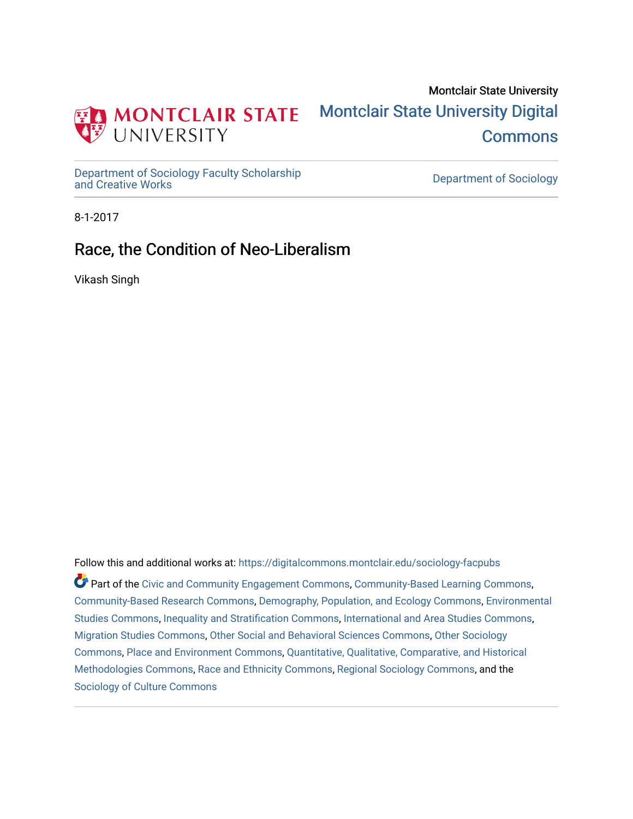

# Montclair State University [Montclair State University Digital](https://digitalcommons.montclair.edu/)  **Commons**

[Department of Sociology Faculty Scholarship](https://digitalcommons.montclair.edu/sociology-facpubs)

Department of Sociology

8-1-2017

## Race, the Condition of Neo-Liberalism

Vikash Singh

Follow this and additional works at: [https://digitalcommons.montclair.edu/sociology-facpubs](https://digitalcommons.montclair.edu/sociology-facpubs?utm_source=digitalcommons.montclair.edu%2Fsociology-facpubs%2F54&utm_medium=PDF&utm_campaign=PDFCoverPages) Part of the [Civic and Community Engagement Commons](http://network.bepress.com/hgg/discipline/1028?utm_source=digitalcommons.montclair.edu%2Fsociology-facpubs%2F54&utm_medium=PDF&utm_campaign=PDFCoverPages), [Community-Based Learning Commons](http://network.bepress.com/hgg/discipline/1046?utm_source=digitalcommons.montclair.edu%2Fsociology-facpubs%2F54&utm_medium=PDF&utm_campaign=PDFCoverPages), [Community-Based Research Commons](http://network.bepress.com/hgg/discipline/1047?utm_source=digitalcommons.montclair.edu%2Fsociology-facpubs%2F54&utm_medium=PDF&utm_campaign=PDFCoverPages), [Demography, Population, and Ecology Commons,](http://network.bepress.com/hgg/discipline/418?utm_source=digitalcommons.montclair.edu%2Fsociology-facpubs%2F54&utm_medium=PDF&utm_campaign=PDFCoverPages) [Environmental](http://network.bepress.com/hgg/discipline/1333?utm_source=digitalcommons.montclair.edu%2Fsociology-facpubs%2F54&utm_medium=PDF&utm_campaign=PDFCoverPages)  [Studies Commons,](http://network.bepress.com/hgg/discipline/1333?utm_source=digitalcommons.montclair.edu%2Fsociology-facpubs%2F54&utm_medium=PDF&utm_campaign=PDFCoverPages) [Inequality and Stratification Commons](http://network.bepress.com/hgg/discipline/421?utm_source=digitalcommons.montclair.edu%2Fsociology-facpubs%2F54&utm_medium=PDF&utm_campaign=PDFCoverPages), [International and Area Studies Commons,](http://network.bepress.com/hgg/discipline/360?utm_source=digitalcommons.montclair.edu%2Fsociology-facpubs%2F54&utm_medium=PDF&utm_campaign=PDFCoverPages) [Migration Studies Commons,](http://network.bepress.com/hgg/discipline/1394?utm_source=digitalcommons.montclair.edu%2Fsociology-facpubs%2F54&utm_medium=PDF&utm_campaign=PDFCoverPages) [Other Social and Behavioral Sciences Commons](http://network.bepress.com/hgg/discipline/437?utm_source=digitalcommons.montclair.edu%2Fsociology-facpubs%2F54&utm_medium=PDF&utm_campaign=PDFCoverPages), [Other Sociology](http://network.bepress.com/hgg/discipline/434?utm_source=digitalcommons.montclair.edu%2Fsociology-facpubs%2F54&utm_medium=PDF&utm_campaign=PDFCoverPages)  [Commons](http://network.bepress.com/hgg/discipline/434?utm_source=digitalcommons.montclair.edu%2Fsociology-facpubs%2F54&utm_medium=PDF&utm_campaign=PDFCoverPages), [Place and Environment Commons](http://network.bepress.com/hgg/discipline/424?utm_source=digitalcommons.montclair.edu%2Fsociology-facpubs%2F54&utm_medium=PDF&utm_campaign=PDFCoverPages), [Quantitative, Qualitative, Comparative, and Historical](http://network.bepress.com/hgg/discipline/423?utm_source=digitalcommons.montclair.edu%2Fsociology-facpubs%2F54&utm_medium=PDF&utm_campaign=PDFCoverPages)  [Methodologies Commons](http://network.bepress.com/hgg/discipline/423?utm_source=digitalcommons.montclair.edu%2Fsociology-facpubs%2F54&utm_medium=PDF&utm_campaign=PDFCoverPages), [Race and Ethnicity Commons,](http://network.bepress.com/hgg/discipline/426?utm_source=digitalcommons.montclair.edu%2Fsociology-facpubs%2F54&utm_medium=PDF&utm_campaign=PDFCoverPages) [Regional Sociology Commons](http://network.bepress.com/hgg/discipline/427?utm_source=digitalcommons.montclair.edu%2Fsociology-facpubs%2F54&utm_medium=PDF&utm_campaign=PDFCoverPages), and the [Sociology of Culture Commons](http://network.bepress.com/hgg/discipline/431?utm_source=digitalcommons.montclair.edu%2Fsociology-facpubs%2F54&utm_medium=PDF&utm_campaign=PDFCoverPages)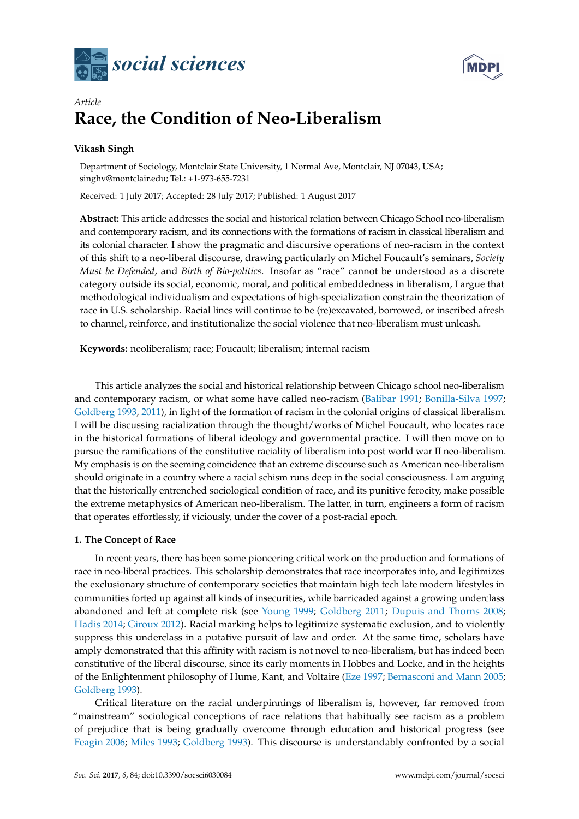



### *Article* **Race, the Condition of Neo-Liberalism**

#### **Vikash Singh**

Department of Sociology, Montclair State University, 1 Normal Ave, Montclair, NJ 07043, USA; singhv@montclair.edu; Tel.: +1-973-655-7231

Received: 1 July 2017; Accepted: 28 July 2017; Published: 1 August 2017

**Abstract:** This article addresses the social and historical relation between Chicago School neo-liberalism and contemporary racism, and its connections with the formations of racism in classical liberalism and its colonial character. I show the pragmatic and discursive operations of neo-racism in the context of this shift to a neo-liberal discourse, drawing particularly on Michel Foucault's seminars, *Society Must be Defended*, and *Birth of Bio-politics*. Insofar as "race" cannot be understood as a discrete category outside its social, economic, moral, and political embeddedness in liberalism, I argue that methodological individualism and expectations of high-specialization constrain the theorization of race in U.S. scholarship. Racial lines will continue to be (re)excavated, borrowed, or inscribed afresh to channel, reinforce, and institutionalize the social violence that neo-liberalism must unleash.

**Keywords:** neoliberalism; race; Foucault; liberalism; internal racism

This article analyzes the social and historical relationship between Chicago school neo-liberalism and contemporary racism, or what some have called neo-racism [\(Balibar](#page-13-0) [1991;](#page-13-0) [Bonilla-Silva](#page-14-0) [1997;](#page-14-0) [Goldberg](#page-15-0) [1993,](#page-15-0) [2011\)](#page-15-1), in light of the formation of racism in the colonial origins of classical liberalism. I will be discussing racialization through the thought/works of Michel Foucault, who locates race in the historical formations of liberal ideology and governmental practice. I will then move on to pursue the ramifications of the constitutive raciality of liberalism into post world war II neo-liberalism. My emphasis is on the seeming coincidence that an extreme discourse such as American neo-liberalism should originate in a country where a racial schism runs deep in the social consciousness. I am arguing that the historically entrenched sociological condition of race, and its punitive ferocity, make possible the extreme metaphysics of American neo-liberalism. The latter, in turn, engineers a form of racism that operates effortlessly, if viciously, under the cover of a post-racial epoch.

#### **1. The Concept of Race**

In recent years, there has been some pioneering critical work on the production and formations of race in neo-liberal practices. This scholarship demonstrates that race incorporates into, and legitimizes the exclusionary structure of contemporary societies that maintain high tech late modern lifestyles in communities forted up against all kinds of insecurities, while barricaded against a growing underclass abandoned and left at complete risk (see [Young](#page-16-0) [1999;](#page-16-0) [Goldberg](#page-15-1) [2011;](#page-15-1) [Dupuis and Thorns](#page-14-1) [2008;](#page-14-1) [Hadis](#page-15-2) [2014;](#page-15-2) [Giroux](#page-15-3) [2012\)](#page-15-3). Racial marking helps to legitimize systematic exclusion, and to violently suppress this underclass in a putative pursuit of law and order. At the same time, scholars have amply demonstrated that this affinity with racism is not novel to neo-liberalism, but has indeed been constitutive of the liberal discourse, since its early moments in Hobbes and Locke, and in the heights of the Enlightenment philosophy of Hume, Kant, and Voltaire [\(Eze](#page-14-2) [1997;](#page-14-2) [Bernasconi and Mann](#page-14-3) [2005;](#page-14-3) [Goldberg](#page-15-0) [1993\)](#page-15-0).

Critical literature on the racial underpinnings of liberalism is, however, far removed from "mainstream" sociological conceptions of race relations that habitually see racism as a problem of prejudice that is being gradually overcome through education and historical progress (see [Feagin](#page-14-4) [2006;](#page-14-4) [Miles](#page-15-4) [1993;](#page-15-4) [Goldberg](#page-15-0) [1993\)](#page-15-0). This discourse is understandably confronted by a social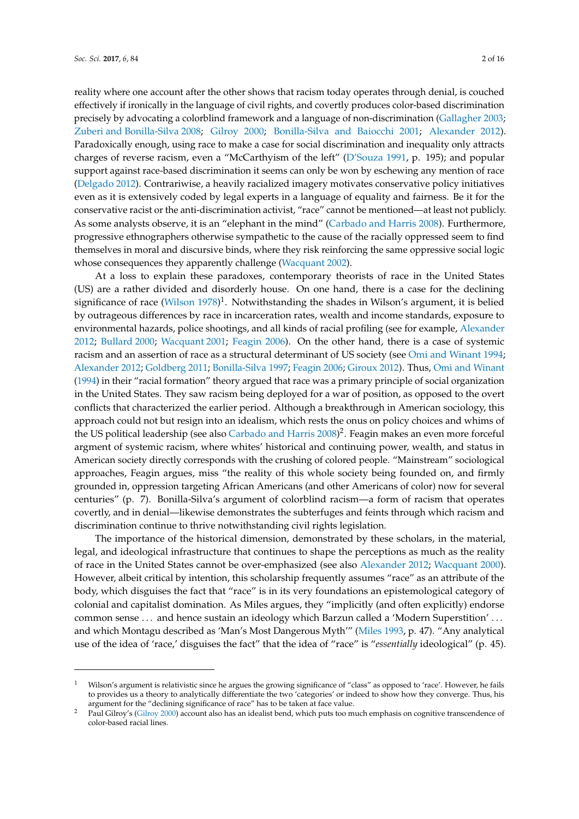reality where one account after the other shows that racism today operates through denial, is couched effectively if ironically in the language of civil rights, and covertly produces color-based discrimination precisely by advocating a colorblind framework and a language of non-discrimination [\(Gallagher](#page-14-5) [2003;](#page-14-5) [Zuberi and Bonilla-Silva](#page-16-1) [2008;](#page-16-1) [Gilroy](#page-15-5) [2000;](#page-15-5) [Bonilla-Silva and Baiocchi](#page-14-6) [2001;](#page-14-6) [Alexander](#page-13-1) [2012\)](#page-13-1). Paradoxically enough, using race to make a case for social discrimination and inequality only attracts charges of reverse racism, even a "McCarthyism of the left" [\(D'Souza](#page-14-7) [1991,](#page-14-7) p. 195); and popular support against race-based discrimination it seems can only be won by eschewing any mention of race [\(Delgado](#page-14-8) [2012\)](#page-14-8). Contrariwise, a heavily racialized imagery motivates conservative policy initiatives even as it is extensively coded by legal experts in a language of equality and fairness. Be it for the conservative racist or the anti-discrimination activist, "race" cannot be mentioned—at least not publicly. As some analysts observe, it is an "elephant in the mind" [\(Carbado and Harris](#page-14-9) [2008\)](#page-14-9). Furthermore, progressive ethnographers otherwise sympathetic to the cause of the racially oppressed seem to find themselves in moral and discursive binds, where they risk reinforcing the same oppressive social logic whose consequences they apparently challenge [\(Wacquant](#page-15-6) [2002\)](#page-15-6).

At a loss to explain these paradoxes, contemporary theorists of race in the United States (US) are a rather divided and disorderly house. On one hand, there is a case for the declining significance of race [\(Wilson](#page-16-2) [1978\)](#page-16-2)<sup>1</sup>. Notwithstanding the shades in Wilson's argument, it is belied by outrageous differences by race in incarceration rates, wealth and income standards, exposure to environmental hazards, police shootings, and all kinds of racial profiling (see for example, [Alexander](#page-13-1) [2012;](#page-13-1) [Bullard](#page-14-10) [2000;](#page-14-10) [Wacquant](#page-15-7) [2001;](#page-15-7) [Feagin](#page-14-4) [2006\)](#page-14-4). On the other hand, there is a case of systemic racism and an assertion of race as a structural determinant of US society (see [Omi and Winant](#page-15-8) [1994;](#page-15-8) [Alexander](#page-13-1) [2012;](#page-13-1) [Goldberg](#page-15-1) [2011;](#page-15-1) [Bonilla-Silva](#page-14-0) [1997;](#page-14-0) [Feagin](#page-14-4) [2006;](#page-14-4) [Giroux](#page-15-3) [2012\)](#page-15-3). Thus, [Omi and Winant](#page-15-8) [\(1994\)](#page-15-8) in their "racial formation" theory argued that race was a primary principle of social organization in the United States. They saw racism being deployed for a war of position, as opposed to the overt conflicts that characterized the earlier period. Although a breakthrough in American sociology, this approach could not but resign into an idealism, which rests the onus on policy choices and whims of the US political leadership (see also [Carbado and Harris](#page-14-9) [2008\)](#page-14-9) 2 . Feagin makes an even more forceful argment of systemic racism, where whites' historical and continuing power, wealth, and status in American society directly corresponds with the crushing of colored people. "Mainstream" sociological approaches, Feagin argues, miss "the reality of this whole society being founded on, and firmly grounded in, oppression targeting African Americans (and other Americans of color) now for several centuries" (p. 7). Bonilla-Silva's argument of colorblind racism—a form of racism that operates covertly, and in denial—likewise demonstrates the subterfuges and feints through which racism and discrimination continue to thrive notwithstanding civil rights legislation.

The importance of the historical dimension, demonstrated by these scholars, in the material, legal, and ideological infrastructure that continues to shape the perceptions as much as the reality of race in the United States cannot be over-emphasized (see also [Alexander](#page-13-1) [2012;](#page-13-1) [Wacquant](#page-15-9) [2000\)](#page-15-9). However, albeit critical by intention, this scholarship frequently assumes "race" as an attribute of the body, which disguises the fact that "race" is in its very foundations an epistemological category of colonial and capitalist domination. As Miles argues, they "implicitly (and often explicitly) endorse common sense . . . and hence sustain an ideology which Barzun called a 'Modern Superstition' . . . and which Montagu described as 'Man's Most Dangerous Myth'" [\(Miles](#page-15-4) [1993,](#page-15-4) p. 47). "Any analytical use of the idea of 'race,' disguises the fact" that the idea of "race" is "*essentially* ideological" (p. 45).

<sup>1</sup> Wilson's argument is relativistic since he argues the growing significance of "class" as opposed to 'race'. However, he fails to provides us a theory to analytically differentiate the two 'categories' or indeed to show how they converge. Thus, his argument for the "declining significance of race" has to be taken at face value.

<sup>2</sup> Paul Gilroy's [\(Gilroy](#page-15-5) [2000\)](#page-15-5) account also has an idealist bend, which puts too much emphasis on cognitive transcendence of color-based racial lines.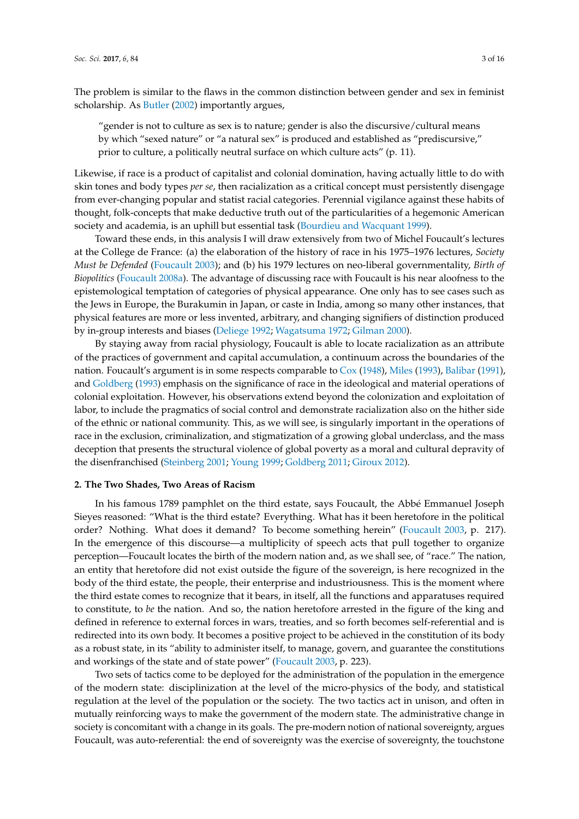The problem is similar to the flaws in the common distinction between gender and sex in feminist scholarship. As  $Butler$  [\(2002\)](#page-14-11) importantly argues,

"gender is not to culture as sex is to nature; gender is also the discursive/cultural means by which "sexed nature" or "a natural sex" is produced and established as "prediscursive," prior to culture, a politically neutral surface on which culture acts" (p. 11).

Likewise, if race is a product of capitalist and colonial domination, having actually little to do with skin tones and body types *per se*, then racialization as a critical concept must persistently disengage from ever-changing popular and statist racial categories. Perennial vigilance against these habits of thought, folk-concepts that make deductive truth out of the particularities of a hegemonic American society and academia, is an uphill but essential task [\(Bourdieu and Wacquant](#page-14-12) [1999\)](#page-14-12).

Toward these ends, in this analysis I will draw extensively from two of Michel Foucault's lectures at the College de France: (a) the elaboration of the history of race in his 1975–1976 lectures, *Society Must be Defended* [\(Foucault](#page-14-13) [2003\)](#page-14-13); and (b) his 1979 lectures on neo-liberal governmentality, *Birth of Biopolitics* [\(Foucault](#page-14-14) [2008a\)](#page-14-14). The advantage of discussing race with Foucault is his near aloofness to the epistemological temptation of categories of physical appearance. One only has to see cases such as the Jews in Europe, the Burakumin in Japan, or caste in India, among so many other instances, that physical features are more or less invented, arbitrary, and changing signifiers of distinction produced by in-group interests and biases [\(Deliege](#page-14-15) [1992;](#page-14-15) [Wagatsuma](#page-15-10) [1972;](#page-15-10) [Gilman](#page-15-11) [2000\)](#page-15-11).

By staying away from racial physiology, Foucault is able to locate racialization as an attribute of the practices of government and capital accumulation, a continuum across the boundaries of the nation. Foucault's argument is in some respects comparable to [Cox](#page-14-16) [\(1948\)](#page-14-16), [Miles](#page-15-4) [\(1993\)](#page-15-4), [Balibar](#page-13-0) [\(1991\)](#page-13-0), and [Goldberg](#page-15-0) [\(1993\)](#page-15-0) emphasis on the significance of race in the ideological and material operations of colonial exploitation. However, his observations extend beyond the colonization and exploitation of labor, to include the pragmatics of social control and demonstrate racialization also on the hither side of the ethnic or national community. This, as we will see, is singularly important in the operations of race in the exclusion, criminalization, and stigmatization of a growing global underclass, and the mass deception that presents the structural violence of global poverty as a moral and cultural depravity of the disenfranchised [\(Steinberg](#page-15-12) [2001;](#page-15-12) [Young](#page-16-0) [1999;](#page-16-0) [Goldberg](#page-15-1) [2011;](#page-15-1) [Giroux](#page-15-3) [2012\)](#page-15-3).

#### **2. The Two Shades, Two Areas of Racism**

In his famous 1789 pamphlet on the third estate, says Foucault, the Abbé Emmanuel Joseph Sieyes reasoned: "What is the third estate? Everything. What has it been heretofore in the political order? Nothing. What does it demand? To become something herein" [\(Foucault](#page-14-13) [2003,](#page-14-13) p. 217). In the emergence of this discourse—a multiplicity of speech acts that pull together to organize perception—Foucault locates the birth of the modern nation and, as we shall see, of "race." The nation, an entity that heretofore did not exist outside the figure of the sovereign, is here recognized in the body of the third estate, the people, their enterprise and industriousness. This is the moment where the third estate comes to recognize that it bears, in itself, all the functions and apparatuses required to constitute, to *be* the nation. And so, the nation heretofore arrested in the figure of the king and defined in reference to external forces in wars, treaties, and so forth becomes self-referential and is redirected into its own body. It becomes a positive project to be achieved in the constitution of its body as a robust state, in its "ability to administer itself, to manage, govern, and guarantee the constitutions and workings of the state and of state power" [\(Foucault](#page-14-13) [2003,](#page-14-13) p. 223).

Two sets of tactics come to be deployed for the administration of the population in the emergence of the modern state: disciplinization at the level of the micro-physics of the body, and statistical regulation at the level of the population or the society. The two tactics act in unison, and often in mutually reinforcing ways to make the government of the modern state. The administrative change in society is concomitant with a change in its goals. The pre-modern notion of national sovereignty, argues Foucault, was auto-referential: the end of sovereignty was the exercise of sovereignty, the touchstone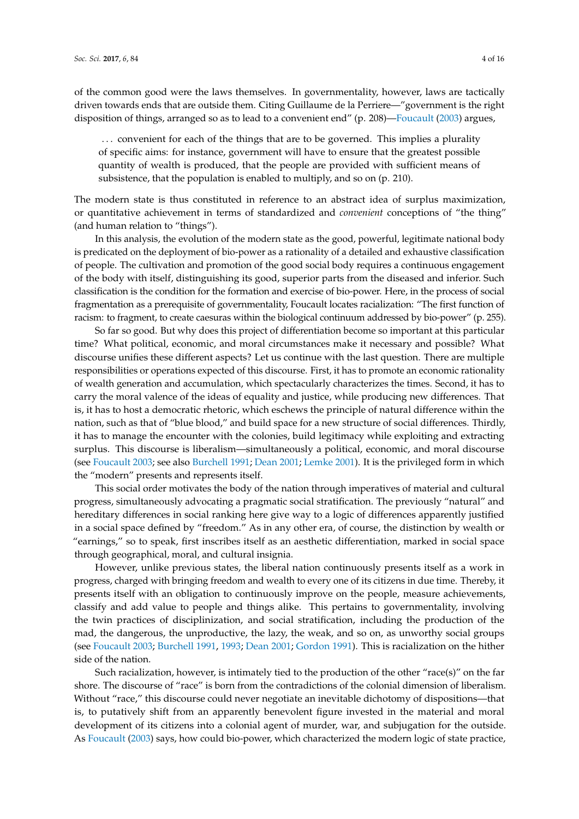of the common good were the laws themselves. In governmentality, however, laws are tactically driven towards ends that are outside them. Citing Guillaume de la Perriere—"government is the right disposition of things, arranged so as to lead to a convenient end" (p. 208)[—Foucault](#page-14-13) [\(2003\)](#page-14-13) argues,

... convenient for each of the things that are to be governed. This implies a plurality of specific aims: for instance, government will have to ensure that the greatest possible quantity of wealth is produced, that the people are provided with sufficient means of subsistence, that the population is enabled to multiply, and so on (p. 210).

The modern state is thus constituted in reference to an abstract idea of surplus maximization, or quantitative achievement in terms of standardized and *convenient* conceptions of "the thing" (and human relation to "things").

In this analysis, the evolution of the modern state as the good, powerful, legitimate national body is predicated on the deployment of bio-power as a rationality of a detailed and exhaustive classification of people. The cultivation and promotion of the good social body requires a continuous engagement of the body with itself, distinguishing its good, superior parts from the diseased and inferior. Such classification is the condition for the formation and exercise of bio-power. Here, in the process of social fragmentation as a prerequisite of governmentality, Foucault locates racialization: "The first function of racism: to fragment, to create caesuras within the biological continuum addressed by bio-power" (p. 255).

So far so good. But why does this project of differentiation become so important at this particular time? What political, economic, and moral circumstances make it necessary and possible? What discourse unifies these different aspects? Let us continue with the last question. There are multiple responsibilities or operations expected of this discourse. First, it has to promote an economic rationality of wealth generation and accumulation, which spectacularly characterizes the times. Second, it has to carry the moral valence of the ideas of equality and justice, while producing new differences. That is, it has to host a democratic rhetoric, which eschews the principle of natural difference within the nation, such as that of "blue blood," and build space for a new structure of social differences. Thirdly, it has to manage the encounter with the colonies, build legitimacy while exploiting and extracting surplus. This discourse is liberalism—simultaneously a political, economic, and moral discourse (see [Foucault](#page-14-13) [2003;](#page-14-13) see also [Burchell](#page-14-17) [1991;](#page-14-17) [Dean](#page-14-18) [2001;](#page-14-18) [Lemke](#page-15-13) [2001\)](#page-15-13). It is the privileged form in which the "modern" presents and represents itself.

This social order motivates the body of the nation through imperatives of material and cultural progress, simultaneously advocating a pragmatic social stratification. The previously "natural" and hereditary differences in social ranking here give way to a logic of differences apparently justified in a social space defined by "freedom." As in any other era, of course, the distinction by wealth or "earnings," so to speak, first inscribes itself as an aesthetic differentiation, marked in social space through geographical, moral, and cultural insignia.

However, unlike previous states, the liberal nation continuously presents itself as a work in progress, charged with bringing freedom and wealth to every one of its citizens in due time. Thereby, it presents itself with an obligation to continuously improve on the people, measure achievements, classify and add value to people and things alike. This pertains to governmentality, involving the twin practices of disciplinization, and social stratification, including the production of the mad, the dangerous, the unproductive, the lazy, the weak, and so on, as unworthy social groups (see [Foucault](#page-14-13) [2003;](#page-14-13) [Burchell](#page-14-17) [1991,](#page-14-17) [1993;](#page-14-19) [Dean](#page-14-18) [2001;](#page-14-18) [Gordon](#page-15-14) [1991\)](#page-15-14). This is racialization on the hither side of the nation.

Such racialization, however, is intimately tied to the production of the other "race(s)" on the far shore. The discourse of "race" is born from the contradictions of the colonial dimension of liberalism. Without "race," this discourse could never negotiate an inevitable dichotomy of dispositions—that is, to putatively shift from an apparently benevolent figure invested in the material and moral development of its citizens into a colonial agent of murder, war, and subjugation for the outside. As [Foucault](#page-14-13) [\(2003\)](#page-14-13) says, how could bio-power, which characterized the modern logic of state practice,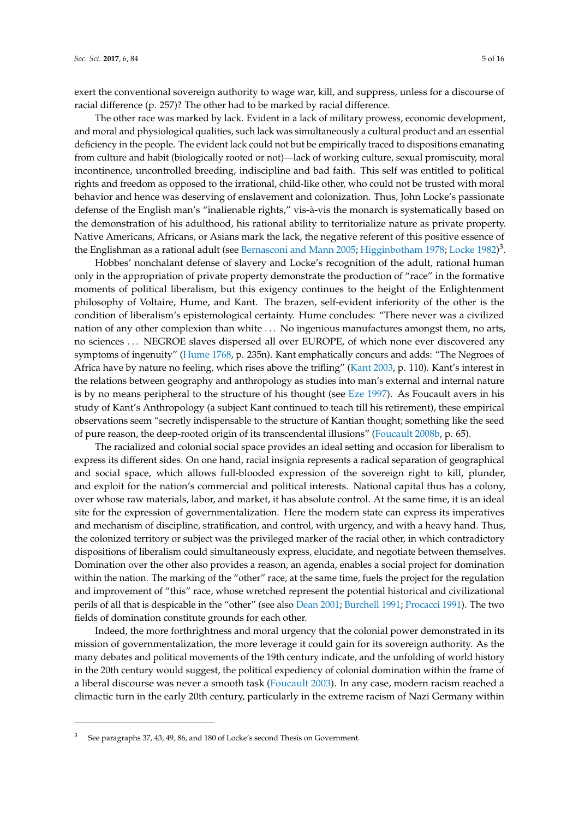exert the conventional sovereign authority to wage war, kill, and suppress, unless for a discourse of racial difference (p. 257)? The other had to be marked by racial difference.

The other race was marked by lack. Evident in a lack of military prowess, economic development, and moral and physiological qualities, such lack was simultaneously a cultural product and an essential deficiency in the people. The evident lack could not but be empirically traced to dispositions emanating from culture and habit (biologically rooted or not)—lack of working culture, sexual promiscuity, moral incontinence, uncontrolled breeding, indiscipline and bad faith. This self was entitled to political rights and freedom as opposed to the irrational, child-like other, who could not be trusted with moral behavior and hence was deserving of enslavement and colonization. Thus, John Locke's passionate defense of the English man's "inalienable rights," vis-à-vis the monarch is systematically based on the demonstration of his adulthood, his rational ability to territorialize nature as private property. Native Americans, Africans, or Asians mark the lack, the negative referent of this positive essence of the Englishman as a rational adult (see [Bernasconi and Mann](#page-14-3) [2005;](#page-14-3) [Higginbotham](#page-15-15) [1978;](#page-15-15) [Locke](#page-15-16) [1982\)](#page-15-16)<sup>3</sup>.

Hobbes' nonchalant defense of slavery and Locke's recognition of the adult, rational human only in the appropriation of private property demonstrate the production of "race" in the formative moments of political liberalism, but this exigency continues to the height of the Enlightenment philosophy of Voltaire, Hume, and Kant. The brazen, self-evident inferiority of the other is the condition of liberalism's epistemological certainty. Hume concludes: "There never was a civilized nation of any other complexion than white . . . No ingenious manufactures amongst them, no arts, no sciences ... NEGROE slaves dispersed all over EUROPE, of which none ever discovered any symptoms of ingenuity" [\(Hume](#page-15-17) [1768,](#page-15-17) p. 235n). Kant emphatically concurs and adds: "The Negroes of Africa have by nature no feeling, which rises above the trifling" [\(Kant](#page-15-18) [2003,](#page-15-18) p. 110). Kant's interest in the relations between geography and anthropology as studies into man's external and internal nature is by no means peripheral to the structure of his thought (see [Eze](#page-14-2) [1997\)](#page-14-2). As Foucault avers in his study of Kant's Anthropology (a subject Kant continued to teach till his retirement), these empirical observations seem "secretly indispensable to the structure of Kantian thought; something like the seed of pure reason, the deep-rooted origin of its transcendental illusions" [\(Foucault](#page-14-20) [2008b,](#page-14-20) p. 65).

The racialized and colonial social space provides an ideal setting and occasion for liberalism to express its different sides. On one hand, racial insignia represents a radical separation of geographical and social space, which allows full-blooded expression of the sovereign right to kill, plunder, and exploit for the nation's commercial and political interests. National capital thus has a colony, over whose raw materials, labor, and market, it has absolute control. At the same time, it is an ideal site for the expression of governmentalization. Here the modern state can express its imperatives and mechanism of discipline, stratification, and control, with urgency, and with a heavy hand. Thus, the colonized territory or subject was the privileged marker of the racial other, in which contradictory dispositions of liberalism could simultaneously express, elucidate, and negotiate between themselves. Domination over the other also provides a reason, an agenda, enables a social project for domination within the nation. The marking of the "other" race, at the same time, fuels the project for the regulation and improvement of "this" race, whose wretched represent the potential historical and civilizational perils of all that is despicable in the "other" (see also [Dean](#page-14-18) [2001;](#page-14-18) [Burchell](#page-14-17) [1991;](#page-14-17) [Procacci](#page-15-19) [1991\)](#page-15-19). The two fields of domination constitute grounds for each other.

Indeed, the more forthrightness and moral urgency that the colonial power demonstrated in its mission of governmentalization, the more leverage it could gain for its sovereign authority. As the many debates and political movements of the 19th century indicate, and the unfolding of world history in the 20th century would suggest, the political expediency of colonial domination within the frame of a liberal discourse was never a smooth task [\(Foucault](#page-14-13) [2003\)](#page-14-13). In any case, modern racism reached a climactic turn in the early 20th century, particularly in the extreme racism of Nazi Germany within

See paragraphs 37, 43, 49, 86, and 180 of Locke's second Thesis on Government.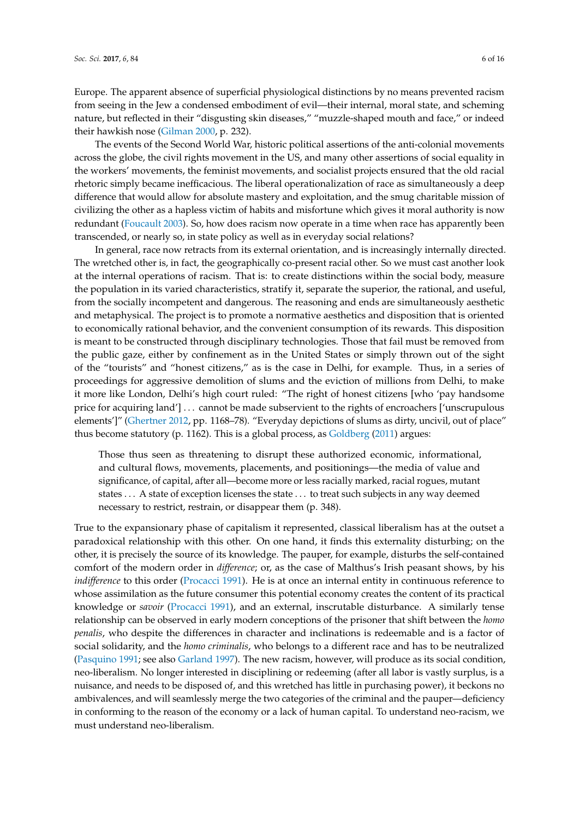Europe. The apparent absence of superficial physiological distinctions by no means prevented racism from seeing in the Jew a condensed embodiment of evil—their internal, moral state, and scheming nature, but reflected in their "disgusting skin diseases," "muzzle-shaped mouth and face," or indeed their hawkish nose [\(Gilman](#page-15-11) [2000,](#page-15-11) p. 232).

The events of the Second World War, historic political assertions of the anti-colonial movements across the globe, the civil rights movement in the US, and many other assertions of social equality in the workers' movements, the feminist movements, and socialist projects ensured that the old racial rhetoric simply became inefficacious. The liberal operationalization of race as simultaneously a deep difference that would allow for absolute mastery and exploitation, and the smug charitable mission of civilizing the other as a hapless victim of habits and misfortune which gives it moral authority is now redundant [\(Foucault](#page-14-13) [2003\)](#page-14-13). So, how does racism now operate in a time when race has apparently been transcended, or nearly so, in state policy as well as in everyday social relations?

In general, race now retracts from its external orientation, and is increasingly internally directed. The wretched other is, in fact, the geographically co-present racial other. So we must cast another look at the internal operations of racism. That is: to create distinctions within the social body, measure the population in its varied characteristics, stratify it, separate the superior, the rational, and useful, from the socially incompetent and dangerous. The reasoning and ends are simultaneously aesthetic and metaphysical. The project is to promote a normative aesthetics and disposition that is oriented to economically rational behavior, and the convenient consumption of its rewards. This disposition is meant to be constructed through disciplinary technologies. Those that fail must be removed from the public gaze, either by confinement as in the United States or simply thrown out of the sight of the "tourists" and "honest citizens," as is the case in Delhi, for example. Thus, in a series of proceedings for aggressive demolition of slums and the eviction of millions from Delhi, to make it more like London, Delhi's high court ruled: "The right of honest citizens [who 'pay handsome price for acquiring land'] . . . cannot be made subservient to the rights of encroachers ['unscrupulous elements']" [\(Ghertner](#page-14-21) [2012,](#page-14-21) pp. 1168–78). "Everyday depictions of slums as dirty, uncivil, out of place" thus become statutory (p. 1162). This is a global process, as [Goldberg](#page-15-1) [\(2011\)](#page-15-1) argues:

Those thus seen as threatening to disrupt these authorized economic, informational, and cultural flows, movements, placements, and positionings—the media of value and significance, of capital, after all—become more or less racially marked, racial rogues, mutant states . . . A state of exception licenses the state . . . to treat such subjects in any way deemed necessary to restrict, restrain, or disappear them (p. 348).

True to the expansionary phase of capitalism it represented, classical liberalism has at the outset a paradoxical relationship with this other. On one hand, it finds this externality disturbing; on the other, it is precisely the source of its knowledge. The pauper, for example, disturbs the self-contained comfort of the modern order in *difference*; or, as the case of Malthus's Irish peasant shows, by his *indifference* to this order (*Procacci 1991*). He is at once an internal entity in continuous reference to whose assimilation as the future consumer this potential economy creates the content of its practical knowledge or *savoir* [\(Procacci](#page-15-19) [1991\)](#page-15-19), and an external, inscrutable disturbance. A similarly tense relationship can be observed in early modern conceptions of the prisoner that shift between the *homo penalis*, who despite the differences in character and inclinations is redeemable and is a factor of social solidarity, and the *homo criminalis*, who belongs to a different race and has to be neutralized [\(Pasquino](#page-15-20) [1991;](#page-15-20) see also [Garland](#page-14-22) [1997\)](#page-14-22). The new racism, however, will produce as its social condition, neo-liberalism. No longer interested in disciplining or redeeming (after all labor is vastly surplus, is a nuisance, and needs to be disposed of, and this wretched has little in purchasing power), it beckons no ambivalences, and will seamlessly merge the two categories of the criminal and the pauper—deficiency in conforming to the reason of the economy or a lack of human capital. To understand neo-racism, we must understand neo-liberalism.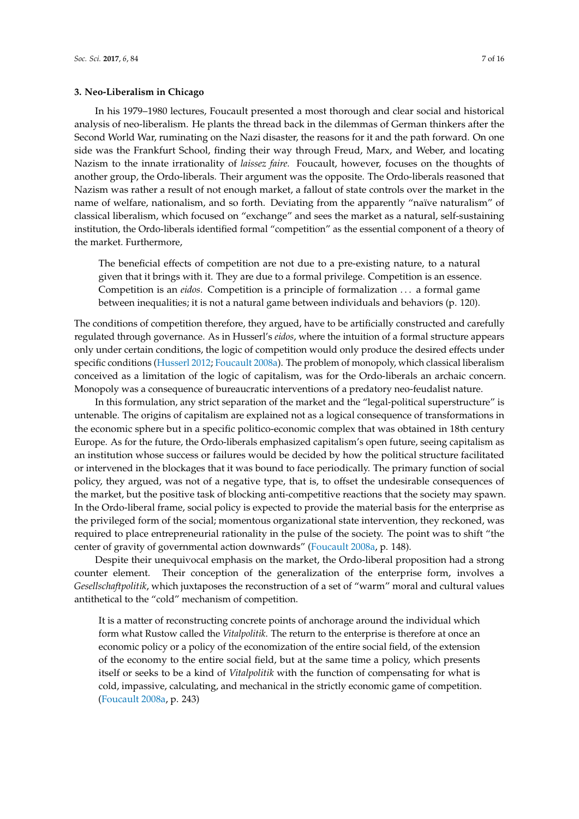#### **3. Neo-Liberalism in Chicago**

In his 1979–1980 lectures, Foucault presented a most thorough and clear social and historical analysis of neo-liberalism. He plants the thread back in the dilemmas of German thinkers after the Second World War, ruminating on the Nazi disaster, the reasons for it and the path forward. On one side was the Frankfurt School, finding their way through Freud, Marx, and Weber, and locating Nazism to the innate irrationality of *laissez faire.* Foucault, however, focuses on the thoughts of another group, the Ordo-liberals. Their argument was the opposite. The Ordo-liberals reasoned that Nazism was rather a result of not enough market, a fallout of state controls over the market in the name of welfare, nationalism, and so forth. Deviating from the apparently "naïve naturalism" of classical liberalism, which focused on "exchange" and sees the market as a natural, self-sustaining institution, the Ordo-liberals identified formal "competition" as the essential component of a theory of the market. Furthermore,

The beneficial effects of competition are not due to a pre-existing nature, to a natural given that it brings with it. They are due to a formal privilege. Competition is an essence. Competition is an *eidos*. Competition is a principle of formalization . . . a formal game between inequalities; it is not a natural game between individuals and behaviors (p. 120).

The conditions of competition therefore, they argued, have to be artificially constructed and carefully regulated through governance. As in Husserl's *eidos*, where the intuition of a formal structure appears only under certain conditions, the logic of competition would only produce the desired effects under specific conditions [\(Husserl](#page-15-21) [2012;](#page-15-21) [Foucault](#page-14-14) [2008a\)](#page-14-14). The problem of monopoly, which classical liberalism conceived as a limitation of the logic of capitalism, was for the Ordo-liberals an archaic concern. Monopoly was a consequence of bureaucratic interventions of a predatory neo-feudalist nature.

In this formulation, any strict separation of the market and the "legal-political superstructure" is untenable. The origins of capitalism are explained not as a logical consequence of transformations in the economic sphere but in a specific politico-economic complex that was obtained in 18th century Europe. As for the future, the Ordo-liberals emphasized capitalism's open future, seeing capitalism as an institution whose success or failures would be decided by how the political structure facilitated or intervened in the blockages that it was bound to face periodically. The primary function of social policy, they argued, was not of a negative type, that is, to offset the undesirable consequences of the market, but the positive task of blocking anti-competitive reactions that the society may spawn. In the Ordo-liberal frame, social policy is expected to provide the material basis for the enterprise as the privileged form of the social; momentous organizational state intervention, they reckoned, was required to place entrepreneurial rationality in the pulse of the society. The point was to shift "the center of gravity of governmental action downwards" [\(Foucault](#page-14-14) [2008a,](#page-14-14) p. 148).

Despite their unequivocal emphasis on the market, the Ordo-liberal proposition had a strong counter element. Their conception of the generalization of the enterprise form, involves a *Gesellschaftpolitik*, which juxtaposes the reconstruction of a set of "warm" moral and cultural values antithetical to the "cold" mechanism of competition.

It is a matter of reconstructing concrete points of anchorage around the individual which form what Rustow called the *Vitalpolitik*. The return to the enterprise is therefore at once an economic policy or a policy of the economization of the entire social field, of the extension of the economy to the entire social field, but at the same time a policy, which presents itself or seeks to be a kind of *Vitalpolitik* with the function of compensating for what is cold, impassive, calculating, and mechanical in the strictly economic game of competition. [\(Foucault](#page-14-14) [2008a,](#page-14-14) p. 243)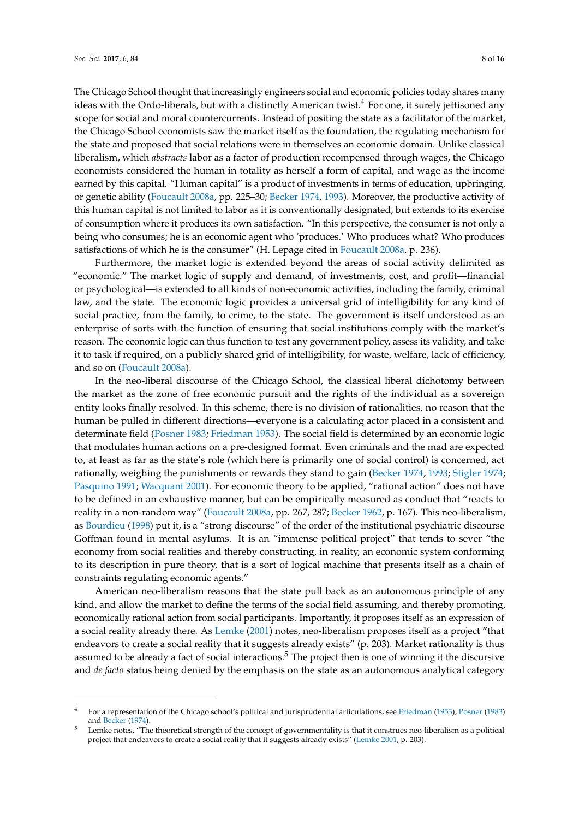The Chicago School thought that increasingly engineers social and economic policies today shares many ideas with the Ordo-liberals, but with a distinctly American twist.<sup>4</sup> For one, it surely jettisoned any scope for social and moral countercurrents. Instead of positing the state as a facilitator of the market, the Chicago School economists saw the market itself as the foundation, the regulating mechanism for the state and proposed that social relations were in themselves an economic domain. Unlike classical liberalism, which *abstracts* labor as a factor of production recompensed through wages, the Chicago economists considered the human in totality as herself a form of capital, and wage as the income earned by this capital. "Human capital" is a product of investments in terms of education, upbringing, or genetic ability [\(Foucault](#page-14-14) [2008a,](#page-14-14) pp. 225–30; [Becker](#page-13-2) [1974,](#page-13-2) [1993\)](#page-14-23). Moreover, the productive activity of this human capital is not limited to labor as it is conventionally designated, but extends to its exercise of consumption where it produces its own satisfaction. "In this perspective, the consumer is not only a being who consumes; he is an economic agent who 'produces.' Who produces what? Who produces satisfactions of which he is the consumer" (H. Lepage cited in [Foucault](#page-14-14) [2008a,](#page-14-14) p. 236).

Furthermore, the market logic is extended beyond the areas of social activity delimited as "economic." The market logic of supply and demand, of investments, cost, and profit—financial or psychological—is extended to all kinds of non-economic activities, including the family, criminal law, and the state. The economic logic provides a universal grid of intelligibility for any kind of social practice, from the family, to crime, to the state. The government is itself understood as an enterprise of sorts with the function of ensuring that social institutions comply with the market's reason. The economic logic can thus function to test any government policy, assess its validity, and take it to task if required, on a publicly shared grid of intelligibility, for waste, welfare, lack of efficiency, and so on [\(Foucault](#page-14-14) [2008a\)](#page-14-14).

In the neo-liberal discourse of the Chicago School, the classical liberal dichotomy between the market as the zone of free economic pursuit and the rights of the individual as a sovereign entity looks finally resolved. In this scheme, there is no division of rationalities, no reason that the human be pulled in different directions—everyone is a calculating actor placed in a consistent and determinate field [\(Posner](#page-15-22) [1983;](#page-15-22) [Friedman](#page-14-24) [1953\)](#page-14-24). The social field is determined by an economic logic that modulates human actions on a pre-designed format. Even criminals and the mad are expected to, at least as far as the state's role (which here is primarily one of social control) is concerned, act rationally, weighing the punishments or rewards they stand to gain [\(Becker](#page-13-2) [1974,](#page-13-2) [1993;](#page-14-23) [Stigler](#page-15-23) [1974;](#page-15-23) [Pasquino](#page-15-20) [1991;](#page-15-20) [Wacquant](#page-15-7) [2001\)](#page-15-7). For economic theory to be applied, "rational action" does not have to be defined in an exhaustive manner, but can be empirically measured as conduct that "reacts to reality in a non-random way" [\(Foucault](#page-14-14) [2008a,](#page-14-14) pp. 267, 287; [Becker](#page-13-3) [1962,](#page-13-3) p. 167). This neo-liberalism, as [Bourdieu](#page-14-25) [\(1998\)](#page-14-25) put it, is a "strong discourse" of the order of the institutional psychiatric discourse Goffman found in mental asylums. It is an "immense political project" that tends to sever "the economy from social realities and thereby constructing, in reality, an economic system conforming to its description in pure theory, that is a sort of logical machine that presents itself as a chain of constraints regulating economic agents."

American neo-liberalism reasons that the state pull back as an autonomous principle of any kind, and allow the market to define the terms of the social field assuming, and thereby promoting, economically rational action from social participants. Importantly, it proposes itself as an expression of a social reality already there. As [Lemke](#page-15-13) [\(2001\)](#page-15-13) notes, neo-liberalism proposes itself as a project "that endeavors to create a social reality that it suggests already exists" (p. 203). Market rationality is thus assumed to be already a fact of social interactions.<sup>5</sup> The project then is one of winning it the discursive and *de facto* status being denied by the emphasis on the state as an autonomous analytical category

<sup>4</sup> For a representation of the Chicago school's political and jurisprudential articulations, see [Friedman](#page-14-24) [\(1953\)](#page-14-24), [Posner](#page-15-22) [\(1983\)](#page-15-22) and [Becker](#page-13-2) [\(1974\)](#page-13-2).

Lemke notes, "The theoretical strength of the concept of governmentality is that it construes neo-liberalism as a political project that endeavors to create a social reality that it suggests already exists" [\(Lemke](#page-15-13) [2001,](#page-15-13) p. 203).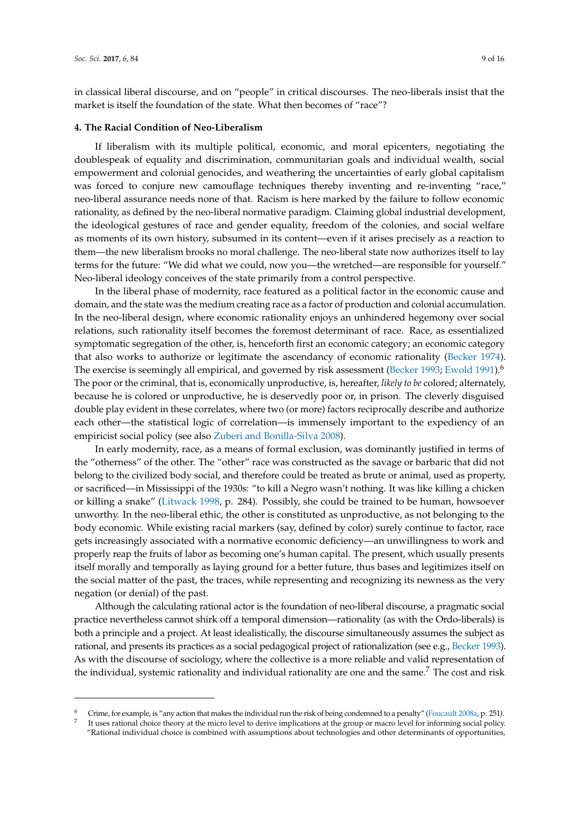in classical liberal discourse, and on "people" in critical discourses. The neo-liberals insist that the market is itself the foundation of the state. What then becomes of "race"?

#### **4. The Racial Condition of Neo-Liberalism**

If liberalism with its multiple political, economic, and moral epicenters, negotiating the doublespeak of equality and discrimination, communitarian goals and individual wealth, social empowerment and colonial genocides, and weathering the uncertainties of early global capitalism was forced to conjure new camouflage techniques thereby inventing and re-inventing "race," neo-liberal assurance needs none of that. Racism is here marked by the failure to follow economic rationality, as defined by the neo-liberal normative paradigm. Claiming global industrial development, the ideological gestures of race and gender equality, freedom of the colonies, and social welfare as moments of its own history, subsumed in its content—even if it arises precisely as a reaction to them—the new liberalism brooks no moral challenge. The neo-liberal state now authorizes itself to lay terms for the future: "We did what we could, now you—the wretched—are responsible for yourself." Neo-liberal ideology conceives of the state primarily from a control perspective.

In the liberal phase of modernity, race featured as a political factor in the economic cause and domain, and the state was the medium creating race as a factor of production and colonial accumulation. In the neo-liberal design, where economic rationality enjoys an unhindered hegemony over social relations, such rationality itself becomes the foremost determinant of race. Race, as essentialized symptomatic segregation of the other, is, henceforth first an economic category; an economic category that also works to authorize or legitimate the ascendancy of economic rationality [\(Becker](#page-13-2) [1974\)](#page-13-2). The exercise is seemingly all empirical, and governed by risk assessment [\(Becker](#page-14-23) [1993;](#page-14-23) [Ewold](#page-14-26) [1991\)](#page-14-26).<sup>6</sup> The poor or the criminal, that is, economically unproductive, is, hereafter, *likely to be* colored; alternately, because he is colored or unproductive, he is deservedly poor or, in prison. The cleverly disguised double play evident in these correlates, where two (or more) factors reciprocally describe and authorize each other—the statistical logic of correlation—is immensely important to the expediency of an empiricist social policy (see also [Zuberi and Bonilla-Silva](#page-16-1) [2008\)](#page-16-1).

In early modernity, race, as a means of formal exclusion, was dominantly justified in terms of the "otherness" of the other. The "other" race was constructed as the savage or barbaric that did not belong to the civilized body social, and therefore could be treated as brute or animal, used as property, or sacrificed—in Mississippi of the 1930s: "to kill a Negro wasn't nothing. It was like killing a chicken or killing a snake" [\(Litwack](#page-15-24) [1998,](#page-15-24) p. 284). Possibly, she could be trained to be human, howsoever unworthy. In the neo-liberal ethic, the other is constituted as unproductive, as not belonging to the body economic. While existing racial markers (say, defined by color) surely continue to factor, race gets increasingly associated with a normative economic deficiency—an unwillingness to work and properly reap the fruits of labor as becoming one's human capital. The present, which usually presents itself morally and temporally as laying ground for a better future, thus bases and legitimizes itself on the social matter of the past, the traces, while representing and recognizing its newness as the very negation (or denial) of the past.

Although the calculating rational actor is the foundation of neo-liberal discourse, a pragmatic social practice nevertheless cannot shirk off a temporal dimension—rationality (as with the Ordo-liberals) is both a principle and a project. At least idealistically, the discourse simultaneously assumes the subject as rational, and presents its practices as a social pedagogical project of rationalization (see e.g., [Becker](#page-14-23) [1993\)](#page-14-23). As with the discourse of sociology, where the collective is a more reliable and valid representation of the individual, systemic rationality and individual rationality are one and the same.<sup>7</sup> The cost and risk

<sup>6</sup> Crime, for example, is "any action that makes the individual run the risk of being condemned to a penalty" [\(Foucault](#page-14-14) [2008a,](#page-14-14) p. 251).

<sup>7</sup> It uses rational choice theory at the micro level to derive implications at the group or macro level for informing social policy. "Rational individual choice is combined with assumptions about technologies and other determinants of opportunities,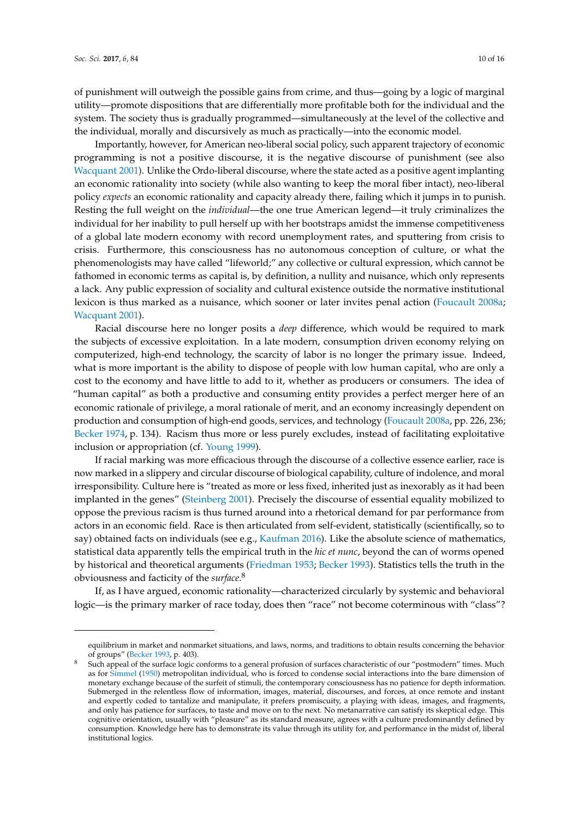of punishment will outweigh the possible gains from crime, and thus—going by a logic of marginal utility—promote dispositions that are differentially more profitable both for the individual and the system. The society thus is gradually programmed—simultaneously at the level of the collective and the individual, morally and discursively as much as practically—into the economic model.

Importantly, however, for American neo-liberal social policy, such apparent trajectory of economic programming is not a positive discourse, it is the negative discourse of punishment (see also [Wacquant](#page-15-7) [2001\)](#page-15-7). Unlike the Ordo-liberal discourse, where the state acted as a positive agent implanting an economic rationality into society (while also wanting to keep the moral fiber intact), neo-liberal policy *expects* an economic rationality and capacity already there, failing which it jumps in to punish. Resting the full weight on the *individual*—the one true American legend—it truly criminalizes the individual for her inability to pull herself up with her bootstraps amidst the immense competitiveness of a global late modern economy with record unemployment rates, and sputtering from crisis to crisis. Furthermore, this consciousness has no autonomous conception of culture, or what the phenomenologists may have called "lifeworld;" any collective or cultural expression, which cannot be fathomed in economic terms as capital is, by definition, a nullity and nuisance, which only represents a lack. Any public expression of sociality and cultural existence outside the normative institutional lexicon is thus marked as a nuisance, which sooner or later invites penal action [\(Foucault](#page-14-14) [2008a;](#page-14-14) [Wacquant](#page-15-7) [2001\)](#page-15-7).

Racial discourse here no longer posits a *deep* difference, which would be required to mark the subjects of excessive exploitation. In a late modern, consumption driven economy relying on computerized, high-end technology, the scarcity of labor is no longer the primary issue. Indeed, what is more important is the ability to dispose of people with low human capital, who are only a cost to the economy and have little to add to it, whether as producers or consumers. The idea of "human capital" as both a productive and consuming entity provides a perfect merger here of an economic rationale of privilege, a moral rationale of merit, and an economy increasingly dependent on production and consumption of high-end goods, services, and technology [\(Foucault](#page-14-14) [2008a,](#page-14-14) pp. 226, 236; [Becker](#page-13-2) [1974,](#page-13-2) p. 134). Racism thus more or less purely excludes, instead of facilitating exploitative inclusion or appropriation (cf. [Young](#page-16-0) [1999\)](#page-16-0).

If racial marking was more efficacious through the discourse of a collective essence earlier, race is now marked in a slippery and circular discourse of biological capability, culture of indolence, and moral irresponsibility. Culture here is "treated as more or less fixed, inherited just as inexorably as it had been implanted in the genes" [\(Steinberg](#page-15-12) [2001\)](#page-15-12). Precisely the discourse of essential equality mobilized to oppose the previous racism is thus turned around into a rhetorical demand for par performance from actors in an economic field. Race is then articulated from self-evident, statistically (scientifically, so to say) obtained facts on individuals (see e.g., [Kaufman](#page-15-25) [2016\)](#page-15-25). Like the absolute science of mathematics, statistical data apparently tells the empirical truth in the *hic et nunc*, beyond the can of worms opened by historical and theoretical arguments [\(Friedman](#page-14-24) [1953;](#page-14-24) [Becker](#page-14-23) [1993\)](#page-14-23). Statistics tells the truth in the obviousness and facticity of the *surface*. 8

If, as I have argued, economic rationality—characterized circularly by systemic and behavioral logic—is the primary marker of race today, does then "race" not become coterminous with "class"?

equilibrium in market and nonmarket situations, and laws, norms, and traditions to obtain results concerning the behavior of groups" [\(Becker](#page-14-23) [1993,](#page-14-23) p. 403).

Such appeal of the surface logic conforms to a general profusion of surfaces characteristic of our "postmodern" times. Much as for [Simmel](#page-15-26) [\(1950\)](#page-15-26) metropolitan individual, who is forced to condense social interactions into the bare dimension of monetary exchange because of the surfeit of stimuli, the contemporary consciousness has no patience for depth information. Submerged in the relentless flow of information, images, material, discourses, and forces, at once remote and instant and expertly coded to tantalize and manipulate, it prefers promiscuity, a playing with ideas, images, and fragments, and only has patience for surfaces, to taste and move on to the next. No metanarrative can satisfy its skeptical edge. This cognitive orientation, usually with "pleasure" as its standard measure, agrees with a culture predominantly defined by consumption. Knowledge here has to demonstrate its value through its utility for, and performance in the midst of, liberal institutional logics.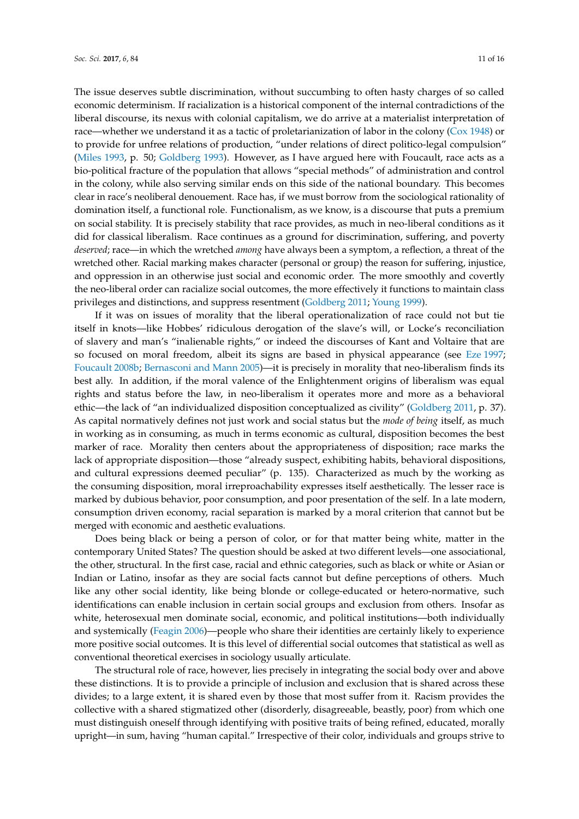The issue deserves subtle discrimination, without succumbing to often hasty charges of so called economic determinism. If racialization is a historical component of the internal contradictions of the liberal discourse, its nexus with colonial capitalism, we do arrive at a materialist interpretation of race—whether we understand it as a tactic of proletarianization of labor in the colony [\(Cox](#page-14-16) [1948\)](#page-14-16) or to provide for unfree relations of production, "under relations of direct politico-legal compulsion" [\(Miles](#page-15-4) [1993,](#page-15-4) p. 50; [Goldberg](#page-15-0) [1993\)](#page-15-0). However, as I have argued here with Foucault, race acts as a bio-political fracture of the population that allows "special methods" of administration and control in the colony, while also serving similar ends on this side of the national boundary. This becomes clear in race's neoliberal denouement. Race has, if we must borrow from the sociological rationality of domination itself, a functional role. Functionalism, as we know, is a discourse that puts a premium on social stability. It is precisely stability that race provides, as much in neo-liberal conditions as it did for classical liberalism. Race continues as a ground for discrimination, suffering, and poverty *deserved*; race—in which the wretched *among* have always been a symptom, a reflection, a threat of the wretched other. Racial marking makes character (personal or group) the reason for suffering, injustice, and oppression in an otherwise just social and economic order. The more smoothly and covertly the neo-liberal order can racialize social outcomes, the more effectively it functions to maintain class privileges and distinctions, and suppress resentment [\(Goldberg](#page-15-1) [2011;](#page-15-1) [Young](#page-16-0) [1999\)](#page-16-0).

If it was on issues of morality that the liberal operationalization of race could not but tie itself in knots—like Hobbes' ridiculous derogation of the slave's will, or Locke's reconciliation of slavery and man's "inalienable rights," or indeed the discourses of Kant and Voltaire that are so focused on moral freedom, albeit its signs are based in physical appearance (see [Eze](#page-14-2) [1997;](#page-14-2) [Foucault](#page-14-20) [2008b;](#page-14-20) [Bernasconi and Mann](#page-14-3) [2005\)](#page-14-3)—it is precisely in morality that neo-liberalism finds its best ally. In addition, if the moral valence of the Enlightenment origins of liberalism was equal rights and status before the law, in neo-liberalism it operates more and more as a behavioral ethic—the lack of "an individualized disposition conceptualized as civility" [\(Goldberg](#page-15-1) [2011,](#page-15-1) p. 37). As capital normatively defines not just work and social status but the *mode of being* itself, as much in working as in consuming, as much in terms economic as cultural, disposition becomes the best marker of race. Morality then centers about the appropriateness of disposition; race marks the lack of appropriate disposition—those "already suspect, exhibiting habits, behavioral dispositions, and cultural expressions deemed peculiar" (p. 135). Characterized as much by the working as the consuming disposition, moral irreproachability expresses itself aesthetically. The lesser race is marked by dubious behavior, poor consumption, and poor presentation of the self. In a late modern, consumption driven economy, racial separation is marked by a moral criterion that cannot but be merged with economic and aesthetic evaluations.

Does being black or being a person of color, or for that matter being white, matter in the contemporary United States? The question should be asked at two different levels—one associational, the other, structural. In the first case, racial and ethnic categories, such as black or white or Asian or Indian or Latino, insofar as they are social facts cannot but define perceptions of others. Much like any other social identity, like being blonde or college-educated or hetero-normative, such identifications can enable inclusion in certain social groups and exclusion from others. Insofar as white, heterosexual men dominate social, economic, and political institutions—both individually and systemically [\(Feagin](#page-14-4) [2006\)](#page-14-4)—people who share their identities are certainly likely to experience more positive social outcomes. It is this level of differential social outcomes that statistical as well as conventional theoretical exercises in sociology usually articulate.

The structural role of race, however, lies precisely in integrating the social body over and above these distinctions. It is to provide a principle of inclusion and exclusion that is shared across these divides; to a large extent, it is shared even by those that most suffer from it. Racism provides the collective with a shared stigmatized other (disorderly, disagreeable, beastly, poor) from which one must distinguish oneself through identifying with positive traits of being refined, educated, morally upright—in sum, having "human capital." Irrespective of their color, individuals and groups strive to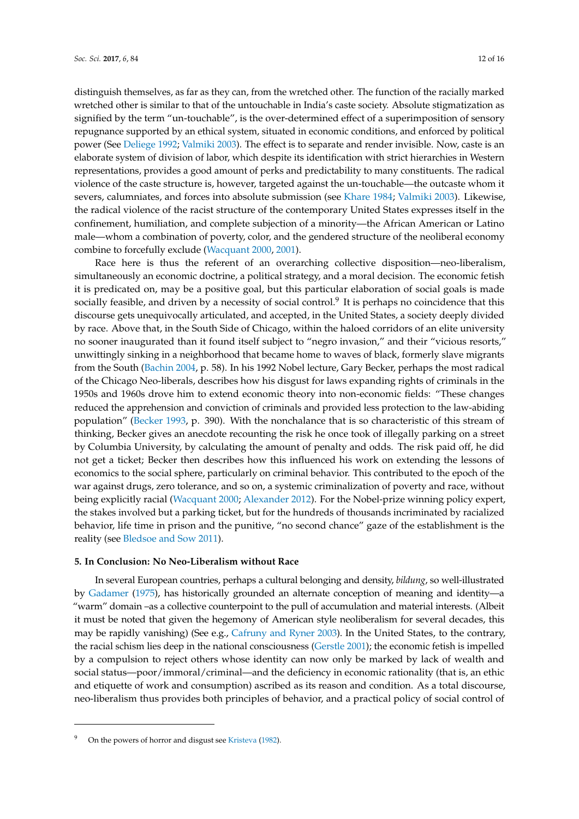distinguish themselves, as far as they can, from the wretched other. The function of the racially marked wretched other is similar to that of the untouchable in India's caste society. Absolute stigmatization as signified by the term "un-touchable", is the over-determined effect of a superimposition of sensory repugnance supported by an ethical system, situated in economic conditions, and enforced by political power (See [Deliege](#page-14-15) [1992;](#page-14-15) [Valmiki](#page-15-27) [2003\)](#page-15-27). The effect is to separate and render invisible. Now, caste is an elaborate system of division of labor, which despite its identification with strict hierarchies in Western representations, provides a good amount of perks and predictability to many constituents. The radical violence of the caste structure is, however, targeted against the un-touchable—the outcaste whom it severs, calumniates, and forces into absolute submission (see [Khare](#page-15-28) [1984;](#page-15-28) [Valmiki](#page-15-27) [2003\)](#page-15-27). Likewise, the radical violence of the racist structure of the contemporary United States expresses itself in the confinement, humiliation, and complete subjection of a minority—the African American or Latino male—whom a combination of poverty, color, and the gendered structure of the neoliberal economy combine to forcefully exclude [\(Wacquant](#page-15-9) [2000,](#page-15-9) [2001\)](#page-15-7).

Race here is thus the referent of an overarching collective disposition—neo-liberalism, simultaneously an economic doctrine, a political strategy, and a moral decision. The economic fetish it is predicated on, may be a positive goal, but this particular elaboration of social goals is made socially feasible, and driven by a necessity of social control. $9$  It is perhaps no coincidence that this discourse gets unequivocally articulated, and accepted, in the United States, a society deeply divided by race. Above that, in the South Side of Chicago, within the haloed corridors of an elite university no sooner inaugurated than it found itself subject to "negro invasion," and their "vicious resorts," unwittingly sinking in a neighborhood that became home to waves of black, formerly slave migrants from the South [\(Bachin](#page-13-4) [2004,](#page-13-4) p. 58). In his 1992 Nobel lecture, Gary Becker, perhaps the most radical of the Chicago Neo-liberals, describes how his disgust for laws expanding rights of criminals in the 1950s and 1960s drove him to extend economic theory into non-economic fields: "These changes reduced the apprehension and conviction of criminals and provided less protection to the law-abiding population" [\(Becker](#page-14-23) [1993,](#page-14-23) p. 390). With the nonchalance that is so characteristic of this stream of thinking, Becker gives an anecdote recounting the risk he once took of illegally parking on a street by Columbia University, by calculating the amount of penalty and odds. The risk paid off, he did not get a ticket; Becker then describes how this influenced his work on extending the lessons of economics to the social sphere, particularly on criminal behavior. This contributed to the epoch of the war against drugs, zero tolerance, and so on, a systemic criminalization of poverty and race, without being explicitly racial [\(Wacquant](#page-15-9) [2000;](#page-15-9) [Alexander](#page-13-1) [2012\)](#page-13-1). For the Nobel-prize winning policy expert, the stakes involved but a parking ticket, but for the hundreds of thousands incriminated by racialized behavior, life time in prison and the punitive, "no second chance" gaze of the establishment is the reality (see [Bledsoe and Sow](#page-14-27) [2011\)](#page-14-27).

#### **5. In Conclusion: No Neo-Liberalism without Race**

In several European countries, perhaps a cultural belonging and density, *bildung*, so well-illustrated by [Gadamer](#page-14-28) [\(1975\)](#page-14-28), has historically grounded an alternate conception of meaning and identity—a "warm" domain –as a collective counterpoint to the pull of accumulation and material interests. (Albeit it must be noted that given the hegemony of American style neoliberalism for several decades, this may be rapidly vanishing) (See e.g., [Cafruny and Ryner](#page-14-29) [2003\)](#page-14-29). In the United States, to the contrary, the racial schism lies deep in the national consciousness [\(Gerstle](#page-14-30) [2001\)](#page-14-30); the economic fetish is impelled by a compulsion to reject others whose identity can now only be marked by lack of wealth and social status—poor/immoral/criminal—and the deficiency in economic rationality (that is, an ethic and etiquette of work and consumption) ascribed as its reason and condition. As a total discourse, neo-liberalism thus provides both principles of behavior, and a practical policy of social control of

On the powers of horror and disgust see [Kristeva](#page-15-29) [\(1982\)](#page-15-29).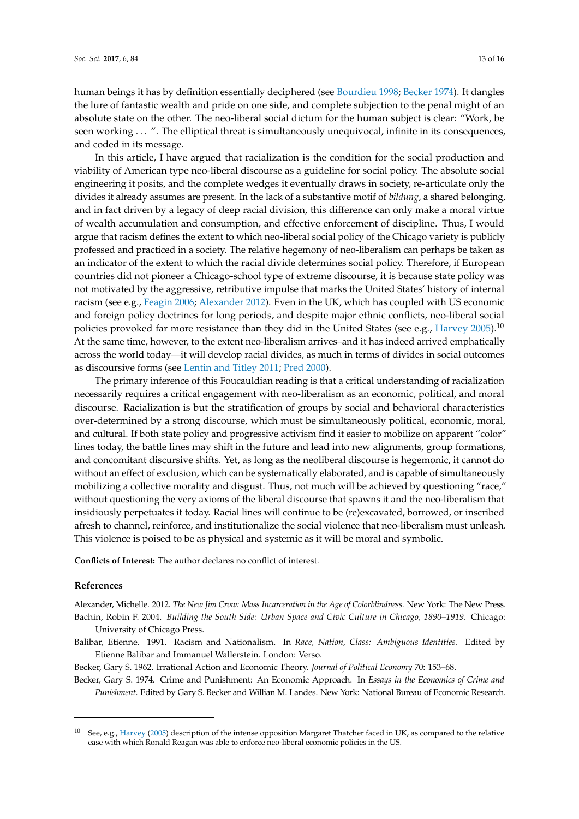human beings it has by definition essentially deciphered (see [Bourdieu](#page-14-25) [1998;](#page-14-25) [Becker](#page-13-2) [1974\)](#page-13-2). It dangles the lure of fantastic wealth and pride on one side, and complete subjection to the penal might of an absolute state on the other. The neo-liberal social dictum for the human subject is clear: "Work, be seen working . . . ". The elliptical threat is simultaneously unequivocal, infinite in its consequences, and coded in its message.

In this article, I have argued that racialization is the condition for the social production and viability of American type neo-liberal discourse as a guideline for social policy. The absolute social engineering it posits, and the complete wedges it eventually draws in society, re-articulate only the divides it already assumes are present. In the lack of a substantive motif of *bildung*, a shared belonging, and in fact driven by a legacy of deep racial division, this difference can only make a moral virtue of wealth accumulation and consumption, and effective enforcement of discipline. Thus, I would argue that racism defines the extent to which neo-liberal social policy of the Chicago variety is publicly professed and practiced in a society. The relative hegemony of neo-liberalism can perhaps be taken as an indicator of the extent to which the racial divide determines social policy. Therefore, if European countries did not pioneer a Chicago-school type of extreme discourse, it is because state policy was not motivated by the aggressive, retributive impulse that marks the United States' history of internal racism (see e.g., [Feagin](#page-14-4) [2006;](#page-14-4) [Alexander](#page-13-1) [2012\)](#page-13-1). Even in the UK, which has coupled with US economic and foreign policy doctrines for long periods, and despite major ethnic conflicts, neo-liberal social policies provoked far more resistance than they did in the United States (see e.g., [Harvey](#page-15-30) [2005\)](#page-15-30).<sup>10</sup> At the same time, however, to the extent neo-liberalism arrives–and it has indeed arrived emphatically across the world today—it will develop racial divides, as much in terms of divides in social outcomes as discoursive forms (see [Lentin and Titley](#page-15-31) [2011;](#page-15-31) [Pred](#page-15-32) [2000\)](#page-15-32).

The primary inference of this Foucauldian reading is that a critical understanding of racialization necessarily requires a critical engagement with neo-liberalism as an economic, political, and moral discourse. Racialization is but the stratification of groups by social and behavioral characteristics over-determined by a strong discourse, which must be simultaneously political, economic, moral, and cultural. If both state policy and progressive activism find it easier to mobilize on apparent "color" lines today, the battle lines may shift in the future and lead into new alignments, group formations, and concomitant discursive shifts. Yet, as long as the neoliberal discourse is hegemonic, it cannot do without an effect of exclusion, which can be systematically elaborated, and is capable of simultaneously mobilizing a collective morality and disgust. Thus, not much will be achieved by questioning "race," without questioning the very axioms of the liberal discourse that spawns it and the neo-liberalism that insidiously perpetuates it today. Racial lines will continue to be (re)excavated, borrowed, or inscribed afresh to channel, reinforce, and institutionalize the social violence that neo-liberalism must unleash. This violence is poised to be as physical and systemic as it will be moral and symbolic.

**Conflicts of Interest:** The author declares no conflict of interest.

#### **References**

<span id="page-13-4"></span><span id="page-13-1"></span>Alexander, Michelle. 2012. *The New Jim Crow: Mass Incarceration in the Age of Colorblindness*. New York: The New Press. Bachin, Robin F. 2004. *Building the South Side: Urban Space and Civic Culture in Chicago, 1890–1919*. Chicago: University of Chicago Press.

<span id="page-13-0"></span>Balibar, Etienne. 1991. Racism and Nationalism. In *Race, Nation, Class: Ambiguous Identities*. Edited by Etienne Balibar and Immanuel Wallerstein. London: Verso.

<span id="page-13-3"></span>Becker, Gary S. 1962. Irrational Action and Economic Theory. *Journal of Political Economy* 70: 153–68.

<span id="page-13-2"></span>Becker, Gary S. 1974. Crime and Punishment: An Economic Approach. In *Essays in the Economics of Crime and Punishment*. Edited by Gary S. Becker and Willian M. Landes. New York: National Bureau of Economic Research.

See, e.g., [Harvey](#page-15-30) [\(2005\)](#page-15-30) description of the intense opposition Margaret Thatcher faced in UK, as compared to the relative ease with which Ronald Reagan was able to enforce neo-liberal economic policies in the US.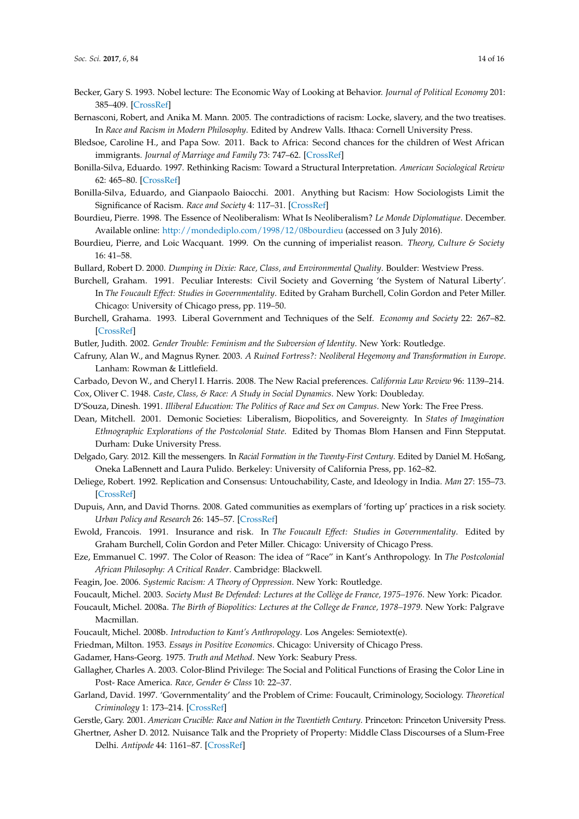- <span id="page-14-23"></span>Becker, Gary S. 1993. Nobel lecture: The Economic Way of Looking at Behavior. *Journal of Political Economy* 201: 385–409. [\[CrossRef\]](http://dx.doi.org/10.1086/261880)
- <span id="page-14-3"></span>Bernasconi, Robert, and Anika M. Mann. 2005. The contradictions of racism: Locke, slavery, and the two treatises. In *Race and Racism in Modern Philosophy*. Edited by Andrew Valls. Ithaca: Cornell University Press.
- <span id="page-14-27"></span>Bledsoe, Caroline H., and Papa Sow. 2011. Back to Africa: Second chances for the children of West African immigrants. *Journal of Marriage and Family* 73: 747–62. [\[CrossRef\]](http://dx.doi.org/10.1111/j.1741-3737.2011.00843.x)
- <span id="page-14-0"></span>Bonilla-Silva, Eduardo. 1997. Rethinking Racism: Toward a Structural Interpretation. *American Sociological Review* 62: 465–80. [\[CrossRef\]](http://dx.doi.org/10.2307/2657316)
- <span id="page-14-6"></span>Bonilla-Silva, Eduardo, and Gianpaolo Baiocchi. 2001. Anything but Racism: How Sociologists Limit the Significance of Racism. *Race and Society* 4: 117–31. [\[CrossRef\]](http://dx.doi.org/10.1016/S1090-9524(03)00004-4)
- <span id="page-14-25"></span>Bourdieu, Pierre. 1998. The Essence of Neoliberalism: What Is Neoliberalism? *Le Monde Diplomatique*. December. Available online: <http://mondediplo.com/1998/12/08bourdieu> (accessed on 3 July 2016).
- <span id="page-14-12"></span>Bourdieu, Pierre, and Loic Wacquant. 1999. On the cunning of imperialist reason. *Theory, Culture & Society* 16: 41–58.
- <span id="page-14-10"></span>Bullard, Robert D. 2000. *Dumping in Dixie: Race, Class, and Environmental Quality*. Boulder: Westview Press.
- <span id="page-14-17"></span>Burchell, Graham. 1991. Peculiar Interests: Civil Society and Governing 'the System of Natural Liberty'. In *The Foucault Effect: Studies in Governmentality*. Edited by Graham Burchell, Colin Gordon and Peter Miller. Chicago: University of Chicago press, pp. 119–50.
- <span id="page-14-19"></span>Burchell, Grahama. 1993. Liberal Government and Techniques of the Self. *Economy and Society* 22: 267–82. [\[CrossRef\]](http://dx.doi.org/10.1080/03085149300000018)

<span id="page-14-11"></span>Butler, Judith. 2002. *Gender Trouble: Feminism and the Subversion of Identity*. New York: Routledge.

<span id="page-14-29"></span>Cafruny, Alan W., and Magnus Ryner. 2003. *A Ruined Fortress?: Neoliberal Hegemony and Transformation in Europe*. Lanham: Rowman & Littlefield.

<span id="page-14-16"></span><span id="page-14-9"></span>Carbado, Devon W., and Cheryl I. Harris. 2008. The New Racial preferences. *California Law Review* 96: 1139–214. Cox, Oliver C. 1948. *Caste, Class, & Race: A Study in Social Dynamics*. New York: Doubleday.

<span id="page-14-7"></span>D'Souza, Dinesh. 1991. *Illiberal Education: The Politics of Race and Sex on Campus*. New York: The Free Press.

- <span id="page-14-18"></span>Dean, Mitchell. 2001. Demonic Societies: Liberalism, Biopolitics, and Sovereignty. In *States of Imagination Ethnographic Explorations of the Postcolonial State*. Edited by Thomas Blom Hansen and Finn Stepputat. Durham: Duke University Press.
- <span id="page-14-8"></span>Delgado, Gary. 2012. Kill the messengers. In *Racial Formation in the Twenty-First Century*. Edited by Daniel M. HoSang, Oneka LaBennett and Laura Pulido. Berkeley: University of California Press, pp. 162–82.
- <span id="page-14-15"></span>Deliege, Robert. 1992. Replication and Consensus: Untouchability, Caste, and Ideology in India. *Man* 27: 155–73. [\[CrossRef\]](http://dx.doi.org/10.2307/2803599)
- <span id="page-14-1"></span>Dupuis, Ann, and David Thorns. 2008. Gated communities as exemplars of 'forting up' practices in a risk society. *Urban Policy and Research* 26: 145–57. [\[CrossRef\]](http://dx.doi.org/10.1080/08111140802026800)
- <span id="page-14-26"></span>Ewold, Francois. 1991. Insurance and risk. In *The Foucault Effect: Studies in Governmentality*. Edited by Graham Burchell, Colin Gordon and Peter Miller. Chicago: University of Chicago Press.
- <span id="page-14-2"></span>Eze, Emmanuel C. 1997. The Color of Reason: The idea of "Race" in Kant's Anthropology. In *The Postcolonial African Philosophy: A Critical Reader*. Cambridge: Blackwell.
- <span id="page-14-4"></span>Feagin, Joe. 2006. *Systemic Racism: A Theory of Oppression*. New York: Routledge.

<span id="page-14-14"></span><span id="page-14-13"></span>Foucault, Michel. 2003. *Society Must Be Defended: Lectures at the Collège de France, 1975–1976*. New York: Picador.

- Foucault, Michel. 2008a. *The Birth of Biopolitics: Lectures at the College de France, 1978–1979*. New York: Palgrave Macmillan.
- <span id="page-14-20"></span>Foucault, Michel. 2008b. *Introduction to Kant's Anthropology*. Los Angeles: Semiotext(e).

<span id="page-14-24"></span>Friedman, Milton. 1953. *Essays in Positive Economics*. Chicago: University of Chicago Press.

- <span id="page-14-28"></span>Gadamer, Hans-Georg. 1975. *Truth and Method*. New York: Seabury Press.
- <span id="page-14-5"></span>Gallagher, Charles A. 2003. Color-Blind Privilege: The Social and Political Functions of Erasing the Color Line in Post- Race America. *Race, Gender & Class* 10: 22–37.
- <span id="page-14-22"></span>Garland, David. 1997. 'Governmentality' and the Problem of Crime: Foucault, Criminology, Sociology. *Theoretical Criminology* 1: 173–214. [\[CrossRef\]](http://dx.doi.org/10.1177/1362480697001002002)
- <span id="page-14-30"></span>Gerstle, Gary. 2001. *American Crucible: Race and Nation in the Twentieth Century*. Princeton: Princeton University Press.

<span id="page-14-21"></span>Ghertner, Asher D. 2012. Nuisance Talk and the Propriety of Property: Middle Class Discourses of a Slum-Free Delhi. *Antipode* 44: 1161–87. [\[CrossRef\]](http://dx.doi.org/10.1111/j.1467-8330.2011.00956.x)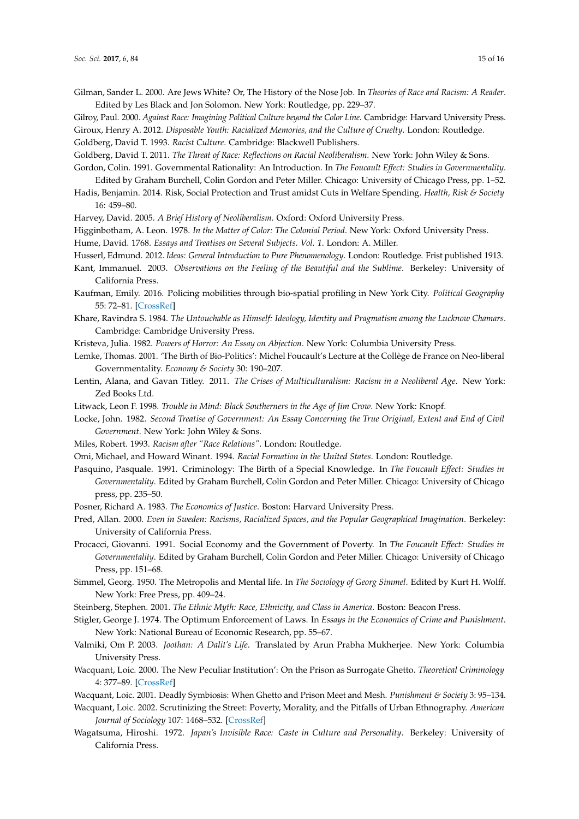- <span id="page-15-11"></span>Gilman, Sander L. 2000. Are Jews White? Or, The History of the Nose Job. In *Theories of Race and Racism: A Reader*. Edited by Les Black and Jon Solomon. New York: Routledge, pp. 229–37.
- <span id="page-15-5"></span>Gilroy, Paul. 2000. *Against Race: Imagining Political Culture beyond the Color Line*. Cambridge: Harvard University Press.

<span id="page-15-3"></span>Giroux, Henry A. 2012. *Disposable Youth: Racialized Memories, and the Culture of Cruelty*. London: Routledge.

<span id="page-15-1"></span>Goldberg, David T. 2011. *The Threat of Race: Reflections on Racial Neoliberalism*. New York: John Wiley & Sons.

<span id="page-15-14"></span>Gordon, Colin. 1991. Governmental Rationality: An Introduction. In *The Foucault Effect: Studies in Governmentality*. Edited by Graham Burchell, Colin Gordon and Peter Miller. Chicago: University of Chicago Press, pp. 1–52.

- <span id="page-15-2"></span>Hadis, Benjamin. 2014. Risk, Social Protection and Trust amidst Cuts in Welfare Spending. *Health, Risk & Society* 16: 459–80.
- <span id="page-15-30"></span>Harvey, David. 2005. *A Brief History of Neoliberalism*. Oxford: Oxford University Press.
- <span id="page-15-17"></span><span id="page-15-15"></span>Higginbotham, A. Leon. 1978. *In the Matter of Color: The Colonial Period*. New York: Oxford University Press. Hume, David. 1768. *Essays and Treatises on Several Subjects. Vol. 1*. London: A. Miller.
- <span id="page-15-21"></span>Husserl, Edmund. 2012. *Ideas: General Introduction to Pure Phenomenology*. London: Routledge. Frist published 1913.
- <span id="page-15-18"></span>Kant, Immanuel. 2003. *Observations on the Feeling of the Beautiful and the Sublime*. Berkeley: University of California Press.
- <span id="page-15-25"></span>Kaufman, Emily. 2016. Policing mobilities through bio-spatial profiling in New York City. *Political Geography* 55: 72–81. [\[CrossRef\]](http://dx.doi.org/10.1016/j.polgeo.2016.07.006)
- <span id="page-15-28"></span>Khare, Ravindra S. 1984. *The Untouchable as Himself: Ideology, Identity and Pragmatism among the Lucknow Chamars*. Cambridge: Cambridge University Press.
- <span id="page-15-29"></span>Kristeva, Julia. 1982. *Powers of Horror: An Essay on Abjection*. New York: Columbia University Press.
- <span id="page-15-13"></span>Lemke, Thomas. 2001. 'The Birth of Bio-Politics': Michel Foucault's Lecture at the Collège de France on Neo-liberal Governmentality. *Economy & Society* 30: 190–207.
- <span id="page-15-31"></span>Lentin, Alana, and Gavan Titley. 2011. *The Crises of Multiculturalism: Racism in a Neoliberal Age*. New York: Zed Books Ltd.
- <span id="page-15-24"></span>Litwack, Leon F. 1998. *Trouble in Mind: Black Southerners in the Age of Jim Crow*. New York: Knopf.
- <span id="page-15-16"></span>Locke, John. 1982. *Second Treatise of Government: An Essay Concerning the True Original, Extent and End of Civil Government*. New York: John Wiley & Sons.
- <span id="page-15-8"></span><span id="page-15-4"></span>Miles, Robert. 1993. *Racism after "Race Relations"*. London: Routledge.
- Omi, Michael, and Howard Winant. 1994. *Racial Formation in the United States*. London: Routledge.
- <span id="page-15-20"></span>Pasquino, Pasquale. 1991. Criminology: The Birth of a Special Knowledge. In *The Foucault Effect: Studies in Governmentality*. Edited by Graham Burchell, Colin Gordon and Peter Miller. Chicago: University of Chicago press, pp. 235–50.
- <span id="page-15-22"></span>Posner, Richard A. 1983. *The Economics of Justice*. Boston: Harvard University Press.
- <span id="page-15-32"></span>Pred, Allan. 2000. *Even in Sweden: Racisms, Racialized Spaces, and the Popular Geographical Imagination*. Berkeley: University of California Press.
- <span id="page-15-19"></span>Procacci, Giovanni. 1991. Social Economy and the Government of Poverty. In *The Foucault Effect: Studies in Governmentality*. Edited by Graham Burchell, Colin Gordon and Peter Miller. Chicago: University of Chicago Press, pp. 151–68.
- <span id="page-15-26"></span>Simmel, Georg. 1950. The Metropolis and Mental life. In *The Sociology of Georg Simmel*. Edited by Kurt H. Wolff. New York: Free Press, pp. 409–24.
- <span id="page-15-23"></span><span id="page-15-12"></span>Steinberg, Stephen. 2001. *The Ethnic Myth: Race, Ethnicity, and Class in America*. Boston: Beacon Press.
- Stigler, George J. 1974. The Optimum Enforcement of Laws. In *Essays in the Economics of Crime and Punishment*. New York: National Bureau of Economic Research, pp. 55–67.
- <span id="page-15-27"></span>Valmiki, Om P. 2003. *Joothan: A Dalit's Life*. Translated by Arun Prabha Mukherjee. New York: Columbia University Press.
- <span id="page-15-9"></span>Wacquant, Loic. 2000. The New Peculiar Institution': On the Prison as Surrogate Ghetto. *Theoretical Criminology* 4: 377–89. [\[CrossRef\]](http://dx.doi.org/10.1177/1362480600004003007)
- <span id="page-15-7"></span>Wacquant, Loic. 2001. Deadly Symbiosis: When Ghetto and Prison Meet and Mesh. *Punishment & Society* 3: 95–134.

<span id="page-15-6"></span>Wacquant, Loic. 2002. Scrutinizing the Street: Poverty, Morality, and the Pitfalls of Urban Ethnography. *American Journal of Sociology* 107: 1468–532. [\[CrossRef\]](http://dx.doi.org/10.1086/340461)

<span id="page-15-10"></span>Wagatsuma, Hiroshi. 1972. *Japan's Invisible Race: Caste in Culture and Personality*. Berkeley: University of California Press.

<span id="page-15-0"></span>Goldberg, David T. 1993. *Racist Culture*. Cambridge: Blackwell Publishers.